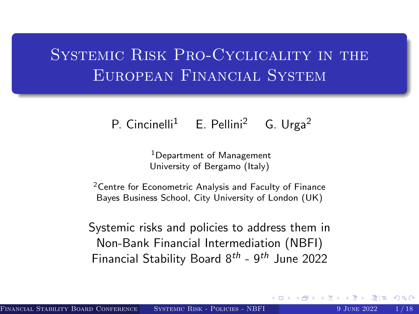# <span id="page-0-0"></span>Systemic Risk Pro-Cyclicality in the European Financial System

### P. Cincinelli<sup>1</sup> E. Pellini<sup>2</sup> G. Urga<sup>2</sup>

<sup>1</sup>Department of Management University of Bergamo (Italy)

<sup>2</sup> Centre for Econometric Analysis and Faculty of Finance Bayes Business School, City University of London (UK)

Systemic risks and policies to address them in Non-Bank Financial Intermediation (NBFI) Financial Stability Board  $8^{th}$  -  $9^{th}$  June 2022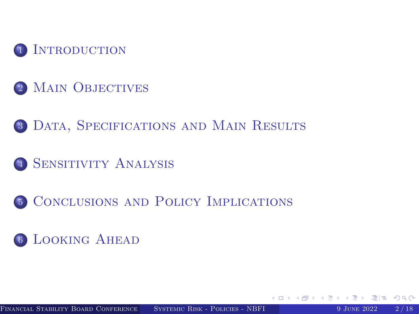

- 2 MAIN OBJECTIVES
- 3 DATA, SPECIFICATIONS AND MAIN RESULTS
- <sup>4</sup> [Sensitivity Analysis](#page-11-0)
- <sup>5</sup> [Conclusions and Policy Implications](#page-12-0)

### <sup>6</sup> [Looking Ahead](#page-13-0)

 $QQ$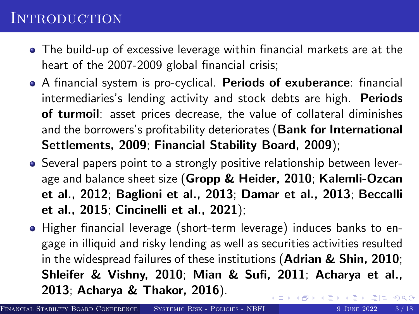### <span id="page-2-0"></span>**INTRODUCTION**

- The build-up of excessive leverage within financial markets are at the heart of the 2007-2009 global financial crisis;
- A financial system is pro-cyclical. Periods of exuberance: financial intermediaries's lending activity and stock debts are high. Periods of turmoil: asset prices decrease, the value of collateral diminishes and the borrowers's profitability deteriorates (Bank for International Settlements, 2009; Financial Stability Board, 2009);
- Several papers point to a strongly positive relationship between leverage and balance sheet size (Gropp & Heider, 2010; Kalemli-Ozcan et al., 2012; Baglioni et al., 2013; Damar et al., 2013; Beccalli et al., 2015; Cincinelli et al., 2021);
- Higher financial leverage (short-term leverage) induces banks to engage in illiquid and risky lending as well as securities activities resulted in the widespread failures of these institutions (Adrian & Shin, 2010; Shleifer & Vishny, 2010; Mian & Sufi, 2011; Acharya et al., 2013; Acharya & Thakor, 2016).  $E|E \cap Q$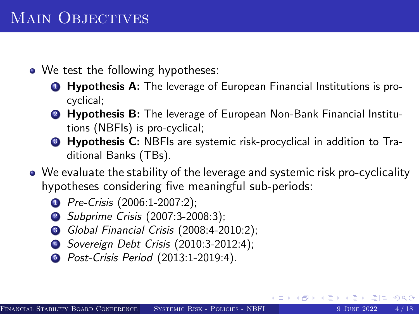## <span id="page-3-0"></span>MAIN OBJECTIVES

- We test the following hypotheses:
	- **1** Hypothesis A: The leverage of European Financial Institutions is procyclical;
	- **2 Hypothesis B:** The leverage of European Non-Bank Financial Institutions (NBFIs) is pro-cyclical;
	- **3 Hypothesis C:** NBFIs are systemic risk-procyclical in addition to Traditional Banks (TBs).
- We evaluate the stability of the leverage and systemic risk pro-cyclicality hypotheses considering five meaningful sub-periods:
	- **1** Pre-Crisis (2006:1-2007:2);
	- 2 Subprime Crisis (2007:3-2008:3);
	- <sup>3</sup> Global Financial Crisis (2008:4-2010:2);
	- <sup>4</sup> Sovereign Debt Crisis (2010:3-2012:4);
	- **6** Post-Crisis Period (2013:1-2019:4).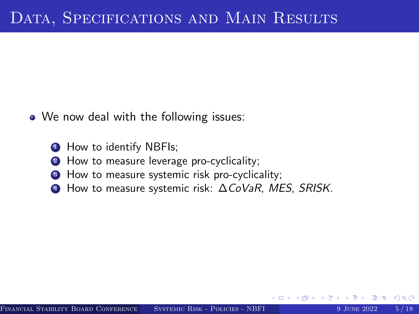- <span id="page-4-0"></span>• We now deal with the following issues:
	- **1** How to identify NBFIs;
	- <sup>2</sup> How to measure leverage pro-cyclicality;
	- **3** How to measure systemic risk pro-cyclicality;
	- <sup>4</sup> How to measure systemic risk: ∆CoVaR, MES, SRISK.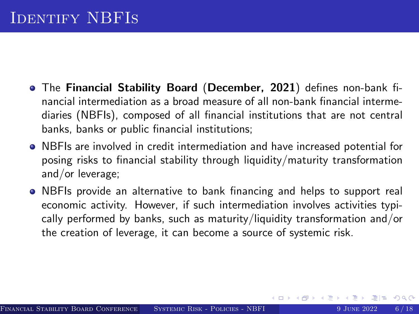- The Financial Stability Board (December, 2021) defines non-bank financial intermediation as a broad measure of all non-bank financial intermediaries (NBFIs), composed of all financial institutions that are not central banks, banks or public financial institutions;
- NBFIs are involved in credit intermediation and have increased potential for posing risks to financial stability through liquidity/maturity transformation and/or leverage;
- NBFIs provide an alternative to bank financing and helps to support real economic activity. However, if such intermediation involves activities typically performed by banks, such as maturity/liquidity transformation and/or the creation of leverage, it can become a source of systemic risk.

 $OQ$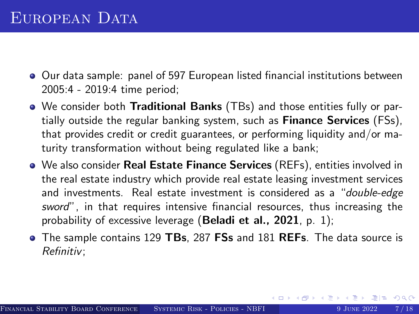- Our data sample: panel of 597 European listed financial institutions between 2005:4 - 2019:4 time period;
- We consider both Traditional Banks (TBs) and those entities fully or partially outside the regular banking system, such as **Finance Services** (FSs), that provides credit or credit guarantees, or performing liquidity and/or maturity transformation without being regulated like a bank;
- We also consider Real Estate Finance Services (REFs), entities involved in the real estate industry which provide real estate leasing investment services and investments. Real estate investment is considered as a "double-edge sword", in that requires intensive financial resources, thus increasing the probability of excessive leverage (Beladi et al.,  $2021$ , p. 1);
- The sample contains 129 TBs, 287 FSs and 181 REFs. The data source is Refinitiv;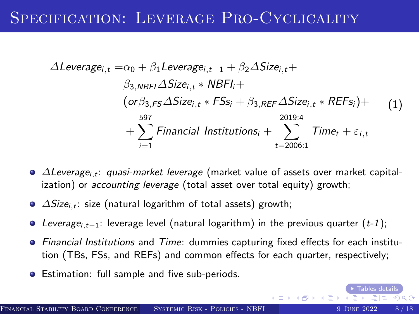### SPECIFICATION: LEVERAGE PRO-CYCLICALITY

$$
\Delta Leverage_{i,t} = \alpha_0 + \beta_1 Leverage_{i,t-1} + \beta_2 \Delta Size_{i,t} +
$$
  
\n
$$
\beta_{3,NBF1} \Delta Size_{i,t} * NBFI +
$$
  
\n
$$
(\text{or } \beta_{3,FS} \Delta Size_{i,t} * FSS_i + \beta_{3,REF} \Delta Size_{i,t} * REFs_i) +
$$
  
\n
$$
+ \sum_{i=1}^{597} Financial institutions_i + \sum_{t=2006:1}^{2019:4} Time_t + \varepsilon_{i,t}
$$
 (1)

- $\bullet$   $\Delta$ Leverage<sub>i,t</sub>: quasi-market leverage (market value of assets over market capitalization) or *accounting leverage* (total asset over total equity) growth;
- $\bullet$   $\Delta Size_{i,t}$ : size (natural logarithm of total assets) growth;
- $\bullet$  Leverage<sub>i,t−1</sub>: leverage level (natural logarithm) in the previous quarter (t-1);
- Financial Institutions and Time: dummies capturing fixed effects for each institution (TBs, FSs, and REFs) and common effects for each quarter, respectively;
- **•** Estimation: full sample and five sub-periods.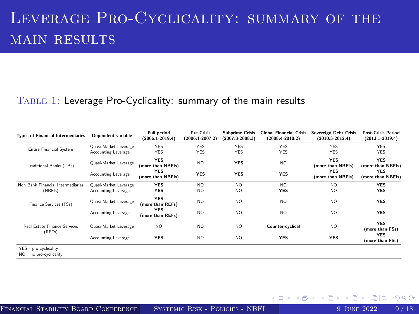## Leverage Pro-Cyclicality: summary of the MAIN RESULTS

#### Table 1: Leverage Pro-Cyclicality: summary of the main results

| <b>Types of Financial Intermediaries</b>       | Dependent variable                           | <b>Full period</b><br>$(2006:1-2019:4)$                            | <b>Pre-Crisis</b><br>$(2006:1-2007:2)$ | <b>Subprime Crisis</b><br>$(2007:3-2008:3)$ | <b>Global Financial Crisis</b><br>$(2008:4-2010:2)$ | Sovereign Debt Crisis<br>$(2010:3-2012:4)$                         | <b>Post-Crisis Period</b><br>$(2013:1-2019:4)$                     |
|------------------------------------------------|----------------------------------------------|--------------------------------------------------------------------|----------------------------------------|---------------------------------------------|-----------------------------------------------------|--------------------------------------------------------------------|--------------------------------------------------------------------|
| <b>Entire Financial System</b>                 | Quasi-Market Leverage<br>Accounting Leverage | <b>YES</b><br><b>YES</b>                                           | <b>YES</b><br><b>YES</b>               | <b>YES</b><br><b>YES</b>                    | <b>YES</b><br><b>YES</b>                            | <b>YES</b><br><b>YES</b>                                           | <b>YES</b><br><b>YES</b>                                           |
| Traditional Banks (TBs)                        | Quasi-Market Leverage<br>Accounting Leverage | <b>YES</b><br>(more than NBFIs)<br><b>YES</b><br>(more than NBFIs) | NO.<br><b>YES</b>                      | <b>YES</b><br><b>YES</b>                    | NO.<br><b>YES</b>                                   | <b>YES</b><br>(more than NBFIs)<br><b>YES</b><br>(more than NBFIs) | <b>YES</b><br>(more than NBFIs)<br><b>YES</b><br>(more than NBFIs) |
| Non Bank Financial Intermediaries<br>(NBFIs)   | Quasi-Market Leverage<br>Accounting Leverage | <b>YES</b><br><b>YES</b>                                           | NO.<br>NO.                             | NO.<br>N <sub>O</sub>                       | NO.<br><b>YES</b>                                   | NO.<br>N <sub>O</sub>                                              | <b>YES</b><br><b>YES</b>                                           |
| Finance Services (FSs)                         | Quasi-Market Leverage                        | <b>YES</b><br>(more than REFs)                                     | N <sub>O</sub>                         | NO.                                         | NO.                                                 | NO.                                                                | <b>YES</b>                                                         |
|                                                | Accounting Leverage                          | <b>YES</b><br>(more than REFs)                                     | N <sub>O</sub>                         | N <sub>O</sub>                              | NO.                                                 | N <sub>O</sub>                                                     | <b>YES</b>                                                         |
| Real Estate Einance Services<br>(REFs)         | Quasi-Market Leverage                        | N <sub>O</sub>                                                     | NO.                                    | N <sub>O</sub>                              | Counter-cyclical                                    | NO <sub>1</sub>                                                    | <b>YES</b><br>(more than FSs)                                      |
|                                                | Accounting Leverage                          | <b>YES</b>                                                         | NO.                                    | NO <sub>1</sub>                             | <b>YES</b>                                          | <b>YES</b>                                                         | <b>YES</b><br>(more than FSs)                                      |
| YES= pro-cyclicality<br>NO= no pro-cyclicality |                                              |                                                                    |                                        |                                             |                                                     |                                                                    |                                                                    |

4日)

 $200$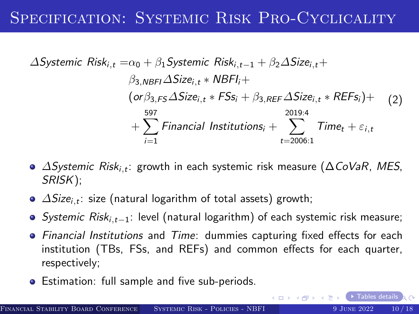### Specification: Systemic Risk Pro-Cyclicality

$$
\Delta Systemic Risk_{i,t} = \alpha_0 + \beta_1 Systemic Risk_{i,t-1} + \beta_2 \Delta Size_{i,t} +
$$
  
\n
$$
\beta_{3,NBF1} \Delta Size_{i,t} * NBF_{i} +
$$
  
\n
$$
(\text{or } \beta_{3,FS} \Delta Size_{i,t} * FSS_i + \beta_{3,REF} \Delta Size_{i,t} * REF_{s}) +
$$
  
\n
$$
+ \sum_{i=1}^{597} Financial institutions_i + \sum_{t=2006:1}^{2019:4} Time_t + \varepsilon_{i,t}
$$

- $\Delta$ Systemic Risk $_{i,t}$ : growth in each systemic risk measure ( $\Delta$ CoVaR, MES, SRISK);
- $\varDelta S$ ize $_{i,t}$ : size (natural logarithm of total assets) growth;
- Systemic Risk<sub>i,t−1</sub>: level (natural logarithm) of each systemic risk measure;
- Financial Institutions and Time: dummies capturing fixed effects for each institution (TBs, FSs, and REFs) and common effects for each quarter, respectively;
- **•** Estimation: full sample and five sub-periods.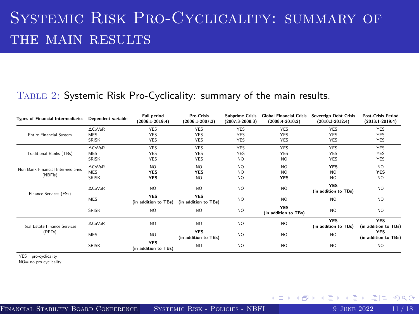## <span id="page-10-0"></span>Systemic Risk Pro-Cyclicality: summary of THE MAIN RESULTS

### Table 2: Systemic Risk Pro-Cyclicality: summary of the main results.

| <b>Types of Financial Intermediaries</b>       | Dependent variable | <b>Full period</b><br>$(2006:1-2019:4)$ | <b>Pre-Crisis</b><br>$(2006:1-2007:2)$ | <b>Subprime Crisis</b><br>(2007:3-2008:3) | <b>Global Financial Crisis</b><br>$(2008:4-2010:2)$ | Sovereign Debt Crisis<br>$(2010:3-2012:4)$ | <b>Post-Crisis Period</b><br>$(2013:1-2019:4)$ |
|------------------------------------------------|--------------------|-----------------------------------------|----------------------------------------|-------------------------------------------|-----------------------------------------------------|--------------------------------------------|------------------------------------------------|
| <b>Entire Financial System</b>                 | ACoVaR             | <b>YES</b>                              | <b>YES</b>                             | <b>YES</b>                                | <b>YES</b>                                          | <b>YES</b>                                 | <b>YES</b>                                     |
|                                                | <b>MES</b>         | <b>YES</b>                              | <b>YES</b>                             | <b>YES</b>                                | <b>YES</b>                                          | <b>YES</b>                                 | <b>YES</b>                                     |
|                                                | <b>SRISK</b>       | <b>YES</b>                              | <b>YES</b>                             | <b>YES</b>                                | <b>YES</b>                                          | <b>YES</b>                                 | <b>YES</b>                                     |
| Traditional Banks (TBs)                        | ACoVaR             | <b>YES</b>                              | YES                                    | <b>YES</b>                                | <b>YES</b>                                          | <b>YES</b>                                 | <b>YES</b>                                     |
|                                                | <b>MES</b>         | <b>YES</b>                              | <b>YES</b>                             | <b>YES</b>                                | <b>YES</b>                                          | <b>YES</b>                                 | <b>YES</b>                                     |
|                                                | <b>SRISK</b>       | <b>YES</b>                              | <b>YES</b>                             | N <sub>O</sub>                            | N <sub>O</sub>                                      | <b>YES</b>                                 | <b>YES</b>                                     |
| Non Bank Financial Intermediaries<br>(NBFIs)   | ACoVaR             | N <sub>O</sub>                          | N <sub>O</sub>                         | N <sub>O</sub>                            | N <sub>O</sub>                                      | <b>YES</b>                                 | N <sub>O</sub>                                 |
|                                                | <b>MES</b>         | YES                                     | <b>YES</b>                             | N <sub>O</sub>                            | N <sub>O</sub>                                      | NO.                                        | <b>YES</b>                                     |
|                                                | <b>SRISK</b>       | <b>YES</b>                              | N <sub>O</sub>                         | N <sub>O</sub>                            | <b>YES</b>                                          | NO.                                        | N <sub>O</sub>                                 |
| Finance Services (FSs)                         | ACoVaR             | N <sub>O</sub>                          | N <sub>O</sub>                         | N <sub>O</sub>                            | N <sub>O</sub>                                      | <b>YES</b><br>(in addition to TBs)         | N <sub>O</sub>                                 |
|                                                | <b>MES</b>         | <b>YES</b><br>(in addition to TBs)      | <b>YES</b><br>(in addition to TBs)     | N <sub>O</sub>                            | N <sub>O</sub>                                      | NO.                                        | N <sub>O</sub>                                 |
|                                                | <b>SRISK</b>       | N <sub>O</sub>                          | N <sub>O</sub>                         | N <sub>O</sub>                            | <b>YES</b><br>(in addition to TBs)                  | NO.                                        | N <sub>O</sub>                                 |
| Real Estate Finance Services<br>(REFs)         | ACoVaR             | N <sub>O</sub>                          | NO.                                    | N <sub>O</sub>                            | N <sub>O</sub>                                      | <b>YES</b><br>(in addition to TBs)         | <b>YES</b><br>(in addition to TBs)             |
|                                                | <b>MES</b>         | N <sub>O</sub>                          | <b>YES</b><br>(in addition to TBs)     | N <sub>O</sub>                            | N <sub>O</sub>                                      | NO.                                        | <b>YES</b><br>(in addition to TBs)             |
|                                                | <b>SRISK</b>       | <b>YES</b><br>(in addition to TBs)      | NO.                                    | N <sub>O</sub>                            | N <sub>O</sub>                                      | NO.                                        | N <sub>O</sub>                                 |
| YES= pro-cyclicality<br>NO= no pro-cyclicality |                    |                                         |                                        |                                           |                                                     |                                            |                                                |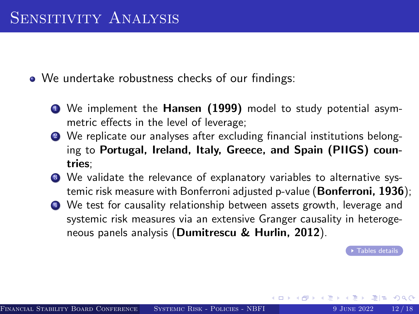<span id="page-11-0"></span>• We undertake robustness checks of our findings:

- <sup>1</sup> We implement the Hansen (1999) model to study potential asymmetric effects in the level of leverage;
- 2 We replicate our analyses after excluding financial institutions belonging to Portugal, Ireland, Italy, Greece, and Spain (PIIGS) countries;
- <sup>3</sup> We validate the relevance of explanatory variables to alternative systemic risk measure with Bonferroni adjusted p-value (Bonferroni, 1936);
- <sup>4</sup> We test for causality relationship between assets growth, leverage and systemic risk measures via an extensive Granger causality in heterogeneous panels analysis (Dumitrescu & Hurlin, 2012).

 $\overline{\phantom{a}}$  Tables details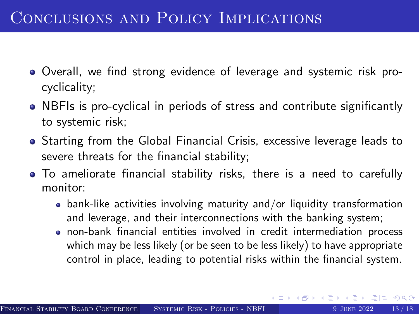- <span id="page-12-0"></span>Overall, we find strong evidence of leverage and systemic risk procyclicality;
- NBFIs is pro-cyclical in periods of stress and contribute significantly to systemic risk;
- Starting from the Global Financial Crisis, excessive leverage leads to severe threats for the financial stability;
- To ameliorate financial stability risks, there is a need to carefully monitor:
	- $\bullet$  bank-like activities involving maturity and/or liquidity transformation and leverage, and their interconnections with the banking system;
	- non-bank financial entities involved in credit intermediation process which may be less likely (or be seen to be less likely) to have appropriate control in place, leading to potential risks within the financial system.

重目 の女の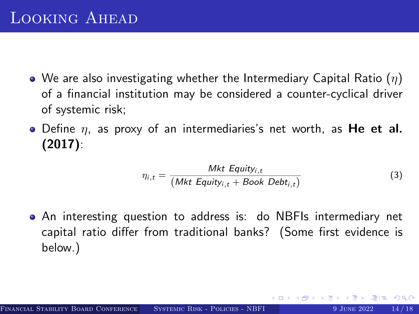- <span id="page-13-0"></span>• We are also investigating whether the Intermediary Capital Ratio  $(\eta)$ of a financial institution may be considered a counter-cyclical driver of systemic risk;
- $\bullet$  Define  $\eta$ , as proxy of an intermediaries's net worth, as He et al. (2017):

$$
\eta_{i,t} = \frac{Mkt \; Equity_{i,t}}{(Mkt \; Equity_{i,t} + Book \; Debt_{i,t})}
$$
(3)

An interesting question to address is: do NBFIs intermediary net capital ratio differ from traditional banks? (Some first evidence is below.)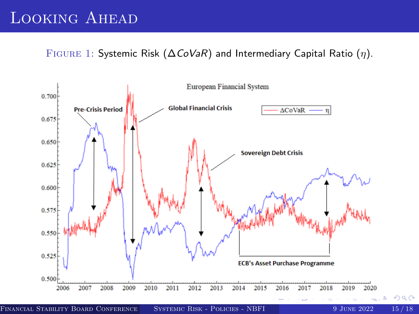### Looking Ahead

FIGURE 1: Systemic Risk ( $\Delta \text{CoVaR}$ ) and Intermediary Capital Ratio ( $\eta$ ).



FINANCIAL STABILITY BOARD CONFERENCE (BASYSTEMIC RISK - POLICIES - NBFI 9 JUNE 2022 15/18

 $090$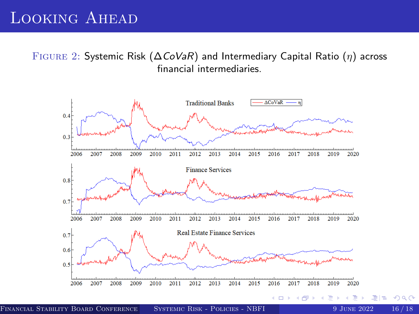### Looking Ahead

FIGURE 2: Systemic Risk ( $\Delta$ CoVaR) and Intermediary Capital Ratio ( $\eta$ ) across financial intermediaries.



FINANCIAL STABILITY BOARD CONFERENCE (BAYES BUSINESS SCHOOL) STABING AND SUINE 2022 16/18

つくへ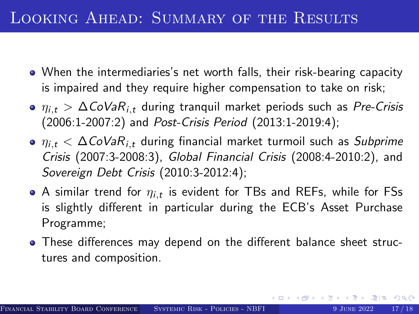### Looking Ahead: Summary of the Results

- When the intermediaries's net worth falls, their risk-bearing capacity is impaired and they require higher compensation to take on risk;
- $\eta_{i,t} > \Delta \text{CoVaR}_{i,t}$  during tranquil market periods such as Pre-Crisis (2006:1-2007:2) and Post-Crisis Period (2013:1-2019:4);
- $\eta_{i,t} < \Delta \text{CoVaR}_{i,t}$  during financial market turmoil such as Subprime Crisis (2007:3-2008:3), Global Financial Crisis (2008:4-2010:2), and Sovereign Debt Crisis (2010:3-2012:4);
- A similar trend for  $\eta_{i,t}$  is evident for TBs and REFs, while for FSs is slightly different in particular during the ECB's Asset Purchase Programme;
- These differences may depend on the different balance sheet structures and composition.